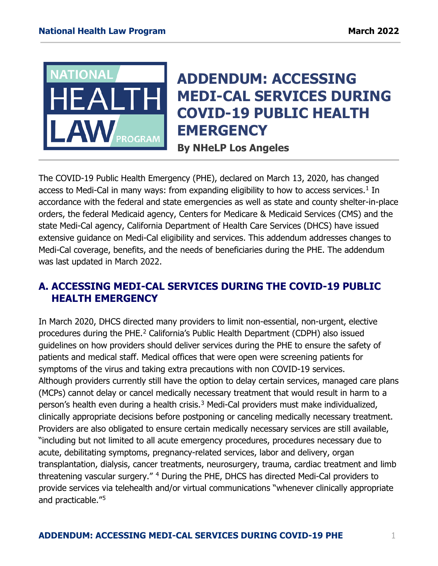

# **ADDENDUM: ACCESSING MEDI-CAL SERVICES DURING COVID-19 PUBLIC HEALTH EMERGENCY**

**By NHeLP Los Angeles**

The COVID-19 Public Health Emergency (PHE), declared on March 13, 2020, has changed access to Medi-Cal in many ways: from expanding eligibility to how to access services.<sup>1</sup> In accordance with the federal and state emergencies as well as state and county shelter-in-place orders, the federal Medicaid agency, Centers for Medicare & Medicaid Services (CMS) and the state Medi-Cal agency, California Department of Health Care Services (DHCS) have issued extensive guidance on Medi-Cal eligibility and services. This addendum addresses changes to Medi-Cal coverage, benefits, and the needs of beneficiaries during the PHE. The addendum was last updated in March 2022.

# **A. ACCESSING MEDI-CAL SERVICES DURING THE COVID-19 PUBLIC HEALTH EMERGENCY**

In March 2020, DHCS directed many providers to limit non-essential, non-urgent, elective procedures during the PHE.[2](#page-2-1) California's Public Health Department (CDPH) also issued guidelines on how providers should deliver services during the PHE to ensure the safety of patients and medical staff. Medical offices that were open were screening patients for symptoms of the virus and taking extra precautions with non COVID-19 services. Although providers currently still have the option to delay certain services, managed care plans (MCPs) cannot delay or cancel medically necessary treatment that would result in harm to a person's health even during a health crisis.<sup>[3](#page-2-2)</sup> Medi-Cal providers must make individualized, clinically appropriate decisions before postponing or canceling medically necessary treatment. Providers are also obligated to ensure certain medically necessary services are still available, "including but not limited to all acute emergency procedures, procedures necessary due to acute, debilitating symptoms, pregnancy-related services, labor and delivery, organ transplantation, dialysis, cancer treatments, neurosurgery, trauma, cardiac treatment and limb threatening vascular surgery." [4](#page-2-3) During the PHE, DHCS has directed Medi-Cal providers to provide services via telehealth and/or virtual communications "whenever clinically appropriate and practicable."[5](#page-2-4)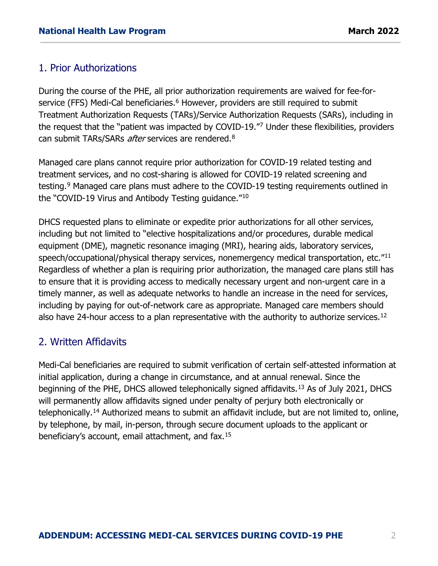## 1. Prior Authorizations

During the course of the PHE, all prior authorization requirements are waived for fee-for-service (FFS) Medi-Cal beneficiaries.<sup>[6](#page-2-5)</sup> However, providers are still required to submit Treatment Authorization Requests (TARs)/Service Authorization Requests (SARs), including in the request that the "patient was impacted by COVID-19."[7](#page-3-0) Under these flexibilities, providers can submit TARs/SARs *after* services are rendered.<sup>[8](#page-3-1)</sup>

Managed care plans cannot require prior authorization for COVID-19 related testing and treatment services, and no cost-sharing is allowed for COVID-19 related screening and testing.<sup>[9](#page-3-2)</sup> Managed care plans must adhere to the COVID-19 testing requirements outlined in the "COVID-19 Virus and Antibody Testing guidance."[10](#page-3-3)

DHCS requested plans to eliminate or expedite prior authorizations for all other services, including but not limited to "elective hospitalizations and/or procedures, durable medical equipment (DME), magnetic resonance imaging (MRI), hearing aids, laboratory services, speech/occupational/physical therapy services, nonemergency medical transportation, etc.<sup>"[11](#page-3-4)</sup> Regardless of whether a plan is requiring prior authorization, the managed care plans still has to ensure that it is providing access to medically necessary urgent and non-urgent care in a timely manner, as well as adequate networks to handle an increase in the need for services, including by paying for out-of-network care as appropriate. Managed care members should also have 24-hour access to a plan representative with the authority to authorize services.<sup>[12](#page-3-5)</sup>

## 2. Written Affidavits

Medi-Cal beneficiaries are required to submit verification of certain self-attested information at initial application, during a change in circumstance, and at annual renewal. Since the beginning of the PHE, DHCS allowed telephonically signed affidavits.<sup>[13](#page-3-6)</sup> As of July 2021, DHCS will permanently allow affidavits signed under penalty of perjury both electronically or telephonically.<sup>[14](#page-3-7)</sup> Authorized means to submit an affidavit include, but are not limited to, online, by telephone, by mail, in-person, through secure document uploads to the applicant or beneficiary's account, email attachment, and fax.[15](#page-3-8)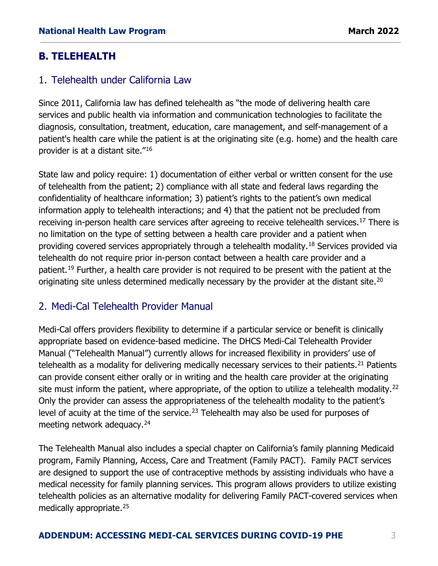# **B. TELEHEALTH**

## 1. Telehealth under California Law

Since 2011, California law has defined telehealth as "the mode of delivering health care services and public health via information and communication technologies to facilitate the diagnosis, consultation, treatment, education, care management, and self-management of a patient's health care while the patient is at the originating site (e.g. home) and the health care provider is at a distant site."[16](#page-3-9)

State law and policy require: 1) documentation of either verbal or written consent for the use of telehealth from the patient; 2) compliance with all state and federal laws regarding the confidentiality of healthcare information; 3) patient's rights to the patient's own medical information apply to telehealth interactions; and 4) that the patient not be precluded from receiving in-person health care services after agreeing to receive telehealth services.<sup>[17](#page-3-10)</sup> There is no limitation on the type of setting between a health care provider and a patient when providing covered services appropriately through a telehealth modality.<sup>[18](#page-3-11)</sup> Services provided via telehealth do not require prior in-person contact between a health care provider and a patient.<sup>[19](#page-3-12)</sup> Further, a health care provider is not required to be present with the patient at the originating site unless determined medically necessary by the provider at the distant site.<sup>[20](#page-3-13)</sup>

# <span id="page-2-1"></span><span id="page-2-0"></span>2. Medi-Cal Telehealth Provider Manual

<span id="page-2-2"></span>Medi-Cal offers providers flexibility to determine if a particular service or benefit is clinically appropriate based on evidence-based medicine. The DHCS Medi-Cal Telehealth Provider Manual ("Telehealth Manual") currently allows for increased flexibility in providers' use of telehealth as a modality for delivering medically necessary services to their patients.<sup>[21](#page-3-14)</sup> Patients can provide consent either orally or in writing and the health care provider at the originating site must inform the patient, where appropriate, of the option to utilize a telehealth modality.<sup>[22](#page-3-15)</sup> Only the provider can assess the appropriateness of the telehealth modality to the patient's level of acuity at the time of the service.<sup>[23](#page-3-16)</sup> Telehealth may also be used for purposes of meeting network adequacy.[24](#page-4-0)

<span id="page-2-5"></span><span id="page-2-4"></span><span id="page-2-3"></span>The Telehealth Manual also includes a special chapter on California's family planning Medicaid program, Family Planning, Access, Care and Treatment (Family PACT). Family PACT services are designed to support the use of contraceptive methods by assisting individuals who have a medical necessity for family planning services. This program allows providers to utilize existing telehealth policies as an alternative modality for delivering Family PACT-covered services when medically appropriate.<sup>[25](#page-4-1)</sup>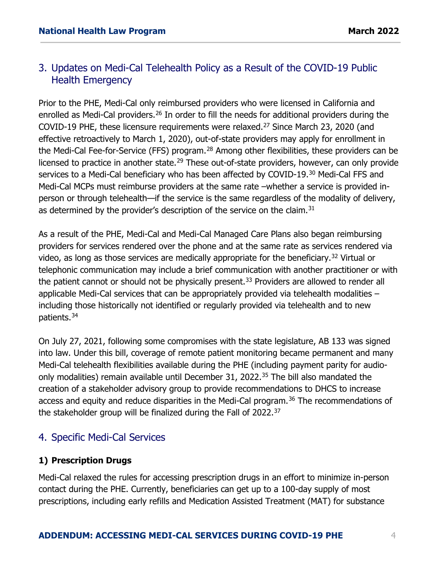## 3. Updates on Medi-Cal Telehealth Policy as a Result of the COVID-19 Public Health Emergency

<span id="page-3-2"></span><span id="page-3-1"></span><span id="page-3-0"></span>Prior to the PHE, Medi-Cal only reimbursed providers who were licensed in California and enrolled as Medi-Cal providers.<sup>[26](#page-4-2)</sup> In order to fill the needs for additional providers during the COVID-19 PHE, these licensure requirements were relaxed.<sup>[27](#page-4-3)</sup> Since March 23, 2020 (and effective retroactively to March 1, 2020), out-of-state providers may apply for enrollment in the Medi-Cal Fee-for-Service (FFS) program.<sup>[28](#page-4-4)</sup> Among other flexibilities, these providers can be licensed to practice in another state.<sup>[29](#page-4-5)</sup> These out-of-state providers, however, can only provide services to a Medi-Cal beneficiary who has been affected by COVID-19.<sup>[30](#page-4-6)</sup> Medi-Cal FFS and Medi-Cal MCPs must reimburse providers at the same rate –whether a service is provided inperson or through telehealth—if the service is the same regardless of the modality of delivery, as determined by the provider's description of the service on the claim.<sup>[31](#page-4-7)</sup>

<span id="page-3-6"></span><span id="page-3-5"></span><span id="page-3-4"></span><span id="page-3-3"></span>As a result of the PHE, Medi-Cal and Medi-Cal Managed Care Plans also began reimbursing providers for services rendered over the phone and at the same rate as services rendered via video, as long as those services are medically appropriate for the beneficiary.<sup>[32](#page-4-8)</sup> Virtual or telephonic communication may include a brief communication with another practitioner or with the patient cannot or should not be physically present.<sup>[33](#page-4-9)</sup> Providers are allowed to render all applicable Medi-Cal services that can be appropriately provided via telehealth modalities – including those historically not identified or regularly provided via telehealth and to new patients.[34](#page-4-10)

<span id="page-3-13"></span><span id="page-3-12"></span><span id="page-3-11"></span><span id="page-3-10"></span><span id="page-3-9"></span><span id="page-3-8"></span><span id="page-3-7"></span>On July 27, 2021, following some compromises with the state legislature, AB 133 was signed into law. Under this bill, coverage of remote patient monitoring became permanent and many Medi-Cal telehealth flexibilities available during the PHE (including payment parity for audio-only modalities) remain available until December 31, 2022.<sup>[35](#page-4-11)</sup> The bill also mandated the creation of a stakeholder advisory group to provide recommendations to DHCS to increase access and equity and reduce disparities in the Medi-Cal program.<sup>[36](#page-5-0)</sup> The recommendations of the stakeholder group will be finalized during the Fall of 2022.[37](#page-5-1)

## <span id="page-3-16"></span><span id="page-3-15"></span><span id="page-3-14"></span>4. Specific Medi-Cal Services

## **1) Prescription Drugs**

Medi-Cal relaxed the rules for accessing prescription drugs in an effort to minimize in-person contact during the PHE. Currently, beneficiaries can get up to a 100-day supply of most prescriptions, including early refills and Medication Assisted Treatment (MAT) for substance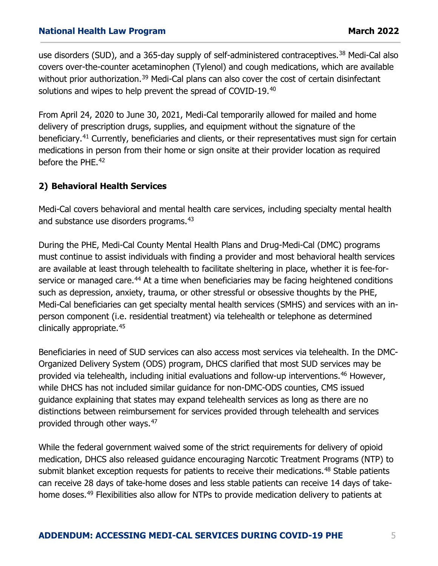<span id="page-4-0"></span>use disorders (SUD), and a 365-day supply of self-administered contraceptives.<sup>[38](#page-5-2)</sup> Medi-Cal also covers over-the-counter acetaminophen (Tylenol) and cough medications, which are available without prior authorization.<sup>[39](#page-5-3)</sup> Medi-Cal plans can also cover the cost of certain disinfectant solutions and wipes to help prevent the spread of COVID-19.<sup>[40](#page-5-4)</sup>

<span id="page-4-1"></span>From April 24, 2020 to June 30, 2021, Medi-Cal temporarily allowed for mailed and home delivery of prescription drugs, supplies, and equipment without the signature of the beneficiary.<sup>[41](#page-5-5)</sup> Currently, beneficiaries and clients, or their representatives must sign for certain medications in person from their home or sign onsite at their provider location as required before the PHE.<sup>42</sup>

#### <span id="page-4-2"></span>**2) Behavioral Health Services**

<span id="page-4-4"></span><span id="page-4-3"></span>Medi-Cal covers behavioral and mental health care services, including specialty mental health and substance use disorders programs.<sup>[43](#page-5-7)</sup>

<span id="page-4-8"></span><span id="page-4-7"></span><span id="page-4-6"></span><span id="page-4-5"></span>During the PHE, Medi-Cal County Mental Health Plans and Drug-Medi-Cal (DMC) programs must continue to assist individuals with finding a provider and most behavioral health services are available at least through telehealth to facilitate sheltering in place, whether it is fee-for-service or managed care.<sup>[44](#page-5-8)</sup> At a time when beneficiaries may be facing heightened conditions such as depression, anxiety, trauma, or other stressful or obsessive thoughts by the PHE, Medi-Cal beneficiaries can get specialty mental health services (SMHS) and services with an inperson component (i.e. residential treatment) via telehealth or telephone as determined clinically appropriate.[45](#page-5-9)

<span id="page-4-11"></span><span id="page-4-10"></span><span id="page-4-9"></span>Beneficiaries in need of SUD services can also access most services via telehealth. In the DMC-Organized Delivery System (ODS) program, DHCS clarified that most SUD services may be provided via telehealth, including initial evaluations and follow-up interventions.<sup>[46](#page-5-10)</sup> However, while DHCS has not included similar guidance for non-DMC-ODS counties, CMS issued guidance explaining that states may expand telehealth services as long as there are no distinctions between reimbursement for services provided through telehealth and services provided through other ways.[47](#page-5-11)

While the federal government waived some of the strict requirements for delivery of opioid medication, DHCS also released guidance encouraging Narcotic Treatment Programs (NTP) to submit blanket exception requests for patients to receive their medications.<sup>[48](#page-5-12)</sup> Stable patients can receive 28 days of take-home doses and less stable patients can receive 14 days of take-home doses.<sup>[49](#page-6-0)</sup> Flexibilities also allow for NTPs to provide medication delivery to patients at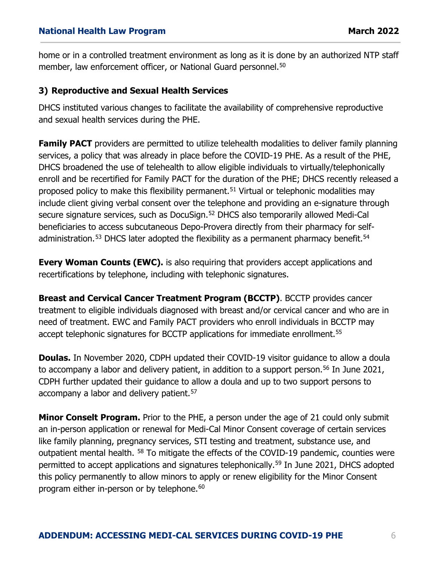home or in a controlled treatment environment as long as it is done by an authorized NTP staff member, law enforcement officer, or National Guard personnel.<sup>[50](#page-6-1)</sup>

### <span id="page-5-0"></span>**3) Reproductive and Sexual Health Services**

<span id="page-5-2"></span><span id="page-5-1"></span>DHCS instituted various changes to facilitate the availability of comprehensive reproductive and sexual health services during the PHE.

<span id="page-5-3"></span>**Family PACT** providers are permitted to utilize telehealth modalities to deliver family planning services, a policy that was already in place before the COVID-19 PHE. As a result of the PHE, DHCS broadened the use of telehealth to allow eligible individuals to virtually/telephonically enroll and be recertified for Family PACT for the duration of the PHE; DHCS recently released a proposed policy to make this flexibility permanent.<sup>51</sup> Virtual or telephonic modalities may include client giving verbal consent over the telephone and providing an e-signature through secure signature services, such as DocuSign.<sup>[52](#page-6-3)</sup> DHCS also temporarily allowed Medi-Cal beneficiaries to access subcutaneous Depo-Provera directly from their pharmacy for self-administration.<sup>[53](#page-6-4)</sup> DHCS later adopted the flexibility as a permanent pharmacy benefit.<sup>[54](#page-6-5)</sup>

<span id="page-5-6"></span><span id="page-5-5"></span><span id="page-5-4"></span>**Every Woman Counts (EWC).** is also requiring that providers accept applications and recertifications by telephone, including with telephonic signatures.

<span id="page-5-7"></span>**Breast and Cervical Cancer Treatment Program (BCCTP)**. BCCTP provides cancer treatment to eligible individuals diagnosed with breast and/or cervical cancer and who are in need of treatment. EWC and Family PACT providers who enroll individuals in BCCTP may accept telephonic signatures for BCCTP applications for immediate enrollment.<sup>[55](#page-6-6)</sup>

<span id="page-5-9"></span><span id="page-5-8"></span>**Doulas.** In November 2020, CDPH updated their COVID-19 visitor guidance to allow a doula to accompany a labor and delivery patient, in addition to a support person.<sup>[56](#page-6-7)</sup> In June 2021, CDPH further updated their guidance to allow a doula and up to two support persons to accompany a labor and delivery patient.<sup>[57](#page-6-8)</sup>

<span id="page-5-12"></span><span id="page-5-11"></span><span id="page-5-10"></span>**Minor Conselt Program.** Prior to the PHE, a person under the age of 21 could only submit an in-person application or renewal for Medi-Cal Minor Consent coverage of certain services like family planning, pregnancy services, STI testing and treatment, substance use, and outpatient mental health. <sup>[58](#page-6-9)</sup> To mitigate the effects of the COVID-19 pandemic, counties were permitted to accept applications and signatures telephonically.[59](#page-6-10) In June 2021, DHCS adopted this policy permanently to allow minors to apply or renew eligibility for the Minor Consent program either in-person or by telephone.<sup>[60](#page-6-11)</sup>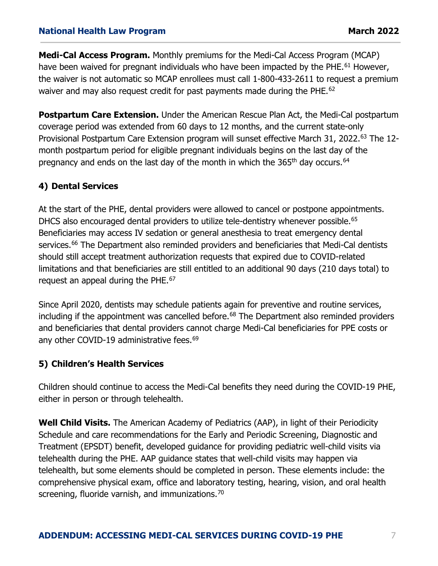<span id="page-6-0"></span>**Medi-Cal Access Program.** Monthly premiums for the Medi-Cal Access Program (MCAP) have been waived for pregnant individuals who have been impacted by the PHE.<sup>[61](#page-6-12)</sup> However, the waiver is not automatic so MCAP enrollees must call 1-800-433-2611 to request a premium waiver and may also request credit for past payments made during the PHE.<sup>62</sup>

<span id="page-6-4"></span><span id="page-6-3"></span><span id="page-6-2"></span><span id="page-6-1"></span>**Postpartum Care Extension.** Under the American Rescue Plan Act, the Medi-Cal postpartum coverage period was extended from 60 days to 12 months, and the current state-only Provisional Postpartum Care Extension program will sunset effective March 31, 2022.<sup>[63](#page-6-14)</sup> The 12month postpartum period for eligible pregnant individuals begins on the last day of the pregnancy and ends on the last day of the month in which the 365<sup>th</sup> day occurs.<sup>64</sup>

## **4) Dental Services**

<span id="page-6-7"></span><span id="page-6-6"></span><span id="page-6-5"></span>At the start of the PHE, dental providers were allowed to cancel or postpone appointments. DHCS also encouraged dental providers to utilize tele-dentistry whenever possible.<sup>[65](#page-6-16)</sup> Beneficiaries may access IV sedation or general anesthesia to treat emergency dental services.<sup>[66](#page-7-0)</sup> The Department also reminded providers and beneficiaries that Medi-Cal dentists should still accept treatment authorization requests that expired due to COVID-related limitations and that beneficiaries are still entitled to an additional 90 days (210 days total) to request an appeal during the PHE.<sup>67</sup>

<span id="page-6-9"></span><span id="page-6-8"></span>Since April 2020, dentists may schedule patients again for preventive and routine services, including if the appointment was cancelled before. $68$  The Department also reminded providers and beneficiaries that dental providers cannot charge Medi-Cal beneficiaries for PPE costs or any other COVID-19 administrative fees.<sup>69</sup>

## <span id="page-6-12"></span><span id="page-6-11"></span><span id="page-6-10"></span>**5) Children's Health Services**

<span id="page-6-13"></span>Children should continue to access the Medi-Cal benefits they need during the COVID-19 PHE, either in person or through telehealth.

<span id="page-6-16"></span><span id="page-6-15"></span><span id="page-6-14"></span>**Well Child Visits.** The American Academy of Pediatrics (AAP), in light of their Periodicity Schedule and care recommendations for the Early and Periodic Screening, Diagnostic and Treatment (EPSDT) benefit, developed guidance for providing pediatric well-child visits via telehealth during the PHE. AAP guidance states that well-child visits may happen via telehealth, but some elements should be completed in person. These elements include: the comprehensive physical exam, office and laboratory testing, hearing, vision, and oral health screening, fluoride varnish, and immunizations.<sup>[70](#page-7-4)</sup>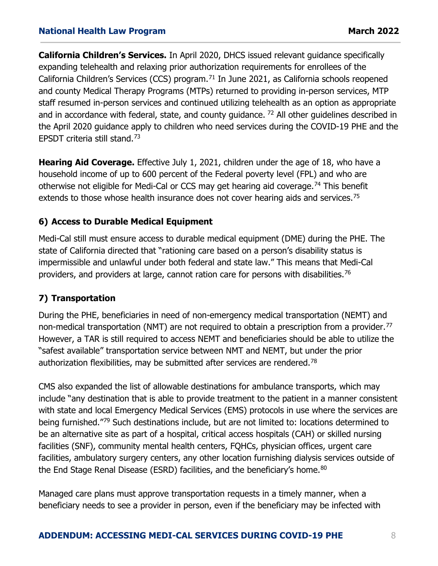<span id="page-7-0"></span>**California Children's Services.** In April 2020, DHCS issued relevant guidance specifically expanding telehealth and relaxing prior authorization requirements for enrollees of the California Children's Services (CCS) program.<sup>[71](#page-7-5)</sup> In June 2021, as California schools reopened and county Medical Therapy Programs (MTPs) returned to providing in-person services, MTP staff resumed in-person services and continued utilizing telehealth as an option as appropriate and in accordance with federal, state, and county guidance.  $72$  All other guidelines described in the April 2020 guidance apply to children who need services during the COVID-19 PHE and the EPSDT criteria still stand.[73](#page-7-7)

<span id="page-7-1"></span>**Hearing Aid Coverage.** Effective July 1, 2021, children under the age of 18, who have a household income of up to 600 percent of the Federal poverty level (FPL) and who are otherwise not eligible for Medi-Cal or CCS may get hearing aid coverage.<sup>[74](#page-7-8)</sup> This benefit extends to those whose health insurance does not cover hearing aids and services.<sup>[75](#page-7-9)</sup>

#### <span id="page-7-2"></span>**6) Access to Durable Medical Equipment**

<span id="page-7-3"></span>Medi-Cal still must ensure access to durable medical equipment (DME) during the PHE. The state of California directed that "rationing care based on a person's disability status is impermissible and unlawful under both federal and state law." This means that Medi-Cal providers, and providers at large, cannot ration care for persons with disabilities.<sup>[76](#page-8-0)</sup>

#### <span id="page-7-4"></span>**7) Transportation**

<span id="page-7-5"></span>During the PHE, beneficiaries in need of non-emergency medical transportation (NEMT) and non-medical transportation (NMT) are not required to obtain a prescription from a provider.<sup>[77](#page-8-1)</sup> However, a TAR is still required to access NEMT and beneficiaries should be able to utilize the "safest available" transportation service between NMT and NEMT, but under the prior authorization flexibilities, may be submitted after services are rendered.<sup>[78](#page-8-2)</sup>

<span id="page-7-8"></span><span id="page-7-7"></span><span id="page-7-6"></span>CMS also expanded the list of allowable destinations for ambulance transports, which may include "any destination that is able to provide treatment to the patient in a manner consistent with state and local Emergency Medical Services (EMS) protocols in use where the services are being furnished."[79](#page-8-3) Such destinations include, but are not limited to: locations determined to be an alternative site as part of a hospital, critical access hospitals (CAH) or skilled nursing facilities (SNF), community mental health centers, FQHCs, physician offices, urgent care facilities, ambulatory surgery centers, any other location furnishing dialysis services outside of the End Stage Renal Disease (ESRD) facilities, and the beneficiary's home.<sup>[80](#page-8-4)</sup>

<span id="page-7-9"></span>Managed care plans must approve transportation requests in a timely manner, when a beneficiary needs to see a provider in person, even if the beneficiary may be infected with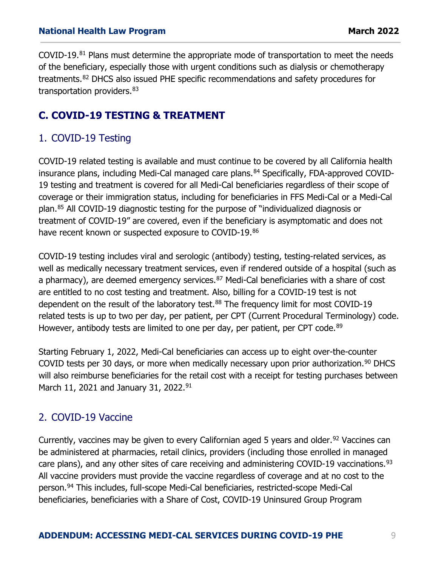<span id="page-8-0"></span>COVID-19.[81](#page-8-5) Plans must determine the appropriate mode of transportation to meet the needs of the beneficiary, especially those with urgent conditions such as dialysis or chemotherapy treatments.[82](#page-8-6) DHCS also issued PHE specific recommendations and safety procedures for transportation providers. [83](#page-8-7)

# <span id="page-8-1"></span>**C. COVID-19 TESTING & TREATMENT**

## 1. COVID-19 Testing

<span id="page-8-4"></span><span id="page-8-3"></span><span id="page-8-2"></span>COVID-19 related testing is available and must continue to be covered by all California health insurance plans, including Medi-Cal managed care plans.<sup>[84](#page-8-8)</sup> Specifically, FDA-approved COVID-19 testing and treatment is covered for all Medi-Cal beneficiaries regardless of their scope of coverage or their immigration status, including for beneficiaries in FFS Medi-Cal or a Medi-Cal plan.[85](#page-8-9) All COVID-19 diagnostic testing for the purpose of "individualized diagnosis or treatment of COVID-19" are covered, even if the beneficiary is asymptomatic and does not have recent known or suspected exposure to COVID-19.[86](#page-8-10)

<span id="page-8-8"></span><span id="page-8-7"></span><span id="page-8-6"></span><span id="page-8-5"></span>COVID-19 testing includes viral and serologic (antibody) testing, testing-related services, as well as medically necessary treatment services, even if rendered outside of a hospital (such as a pharmacy), are deemed emergency services.<sup>[87](#page-8-11)</sup> Medi-Cal beneficiaries with a share of cost are entitled to no cost testing and treatment. Also, billing for a COVID-19 test is not dependent on the result of the laboratory test.<sup>[88](#page-8-12)</sup> The frequency limit for most COVID-19 related tests is up to two per day, per patient, per CPT (Current Procedural Terminology) code. However, antibody tests are limited to one per day, per patient, per CPT code.<sup>[89](#page-8-13)</sup>

<span id="page-8-10"></span><span id="page-8-9"></span>Starting February 1, 2022, Medi-Cal beneficiaries can access up to eight over-the-counter COVID tests per 30 days, or more when medically necessary upon prior authorization.<sup>[90](#page-8-14)</sup> DHCS will also reimburse beneficiaries for the retail cost with a receipt for testing purchases between March 11, 2021 and January 31, 2022.<sup>[91](#page-8-15)</sup>

# <span id="page-8-14"></span><span id="page-8-13"></span><span id="page-8-12"></span><span id="page-8-11"></span>2. COVID-19 Vaccine

<span id="page-8-15"></span>Currently, vaccines may be given to every Californian aged 5 years and older.<sup>[92](#page-9-0)</sup> Vaccines can be administered at pharmacies, retail clinics, providers (including those enrolled in managed care plans), and any other sites of care receiving and administering COVID-19 vaccinations.  $93$ All vaccine providers must provide the vaccine regardless of coverage and at no cost to the person.[94](#page-9-2) This includes, full-scope Medi-Cal beneficiaries, restricted-scope Medi-Cal beneficiaries, beneficiaries with a Share of Cost, COVID-19 Uninsured Group Program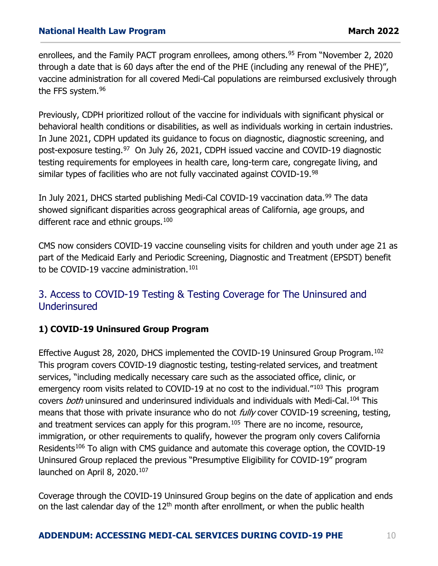<span id="page-9-0"></span>enrollees, and the Family PACT program enrollees, among others.<sup>[95](#page-9-3)</sup> From "November 2, 2020 through a date that is 60 days after the end of the PHE (including any renewal of the PHE)", vaccine administration for all covered Medi-Cal populations are reimbursed exclusively through the FFS system.<sup>[96](#page-9-4)</sup>

<span id="page-9-2"></span><span id="page-9-1"></span>Previously, CDPH prioritized rollout of the vaccine for individuals with significant physical or behavioral health conditions or disabilities, as well as individuals working in certain industries. In June 2021, CDPH updated its guidance to focus on diagnostic, diagnostic screening, and post-exposure testing.<sup>97</sup> On July 26, 2021, CDPH issued vaccine and COVID-19 diagnostic testing requirements for employees in health care, long-term care, congregate living, and similar types of facilities who are not fully vaccinated against COVID-19.[98](#page-9-6)

<span id="page-9-4"></span><span id="page-9-3"></span>In July 2021, DHCS started publishing Medi-Cal COVID-19 vaccination data.<sup>[99](#page-9-7)</sup> The data showed significant disparities across geographical areas of California, age groups, and different race and ethnic groups.<sup>[100](#page-9-8)</sup>

<span id="page-9-5"></span>CMS now considers COVID-19 vaccine counseling visits for children and youth under age 21 as part of the Medicaid Early and Periodic Screening, Diagnostic and Treatment (EPSDT) benefit to be COVID-19 vaccine administration.<sup>[101](#page-9-9)</sup>

## <span id="page-9-6"></span>3. Access to COVID-19 Testing & Testing Coverage for The Uninsured and Underinsured

## <span id="page-9-7"></span>**1) COVID-19 Uninsured Group Program**

<span id="page-9-10"></span><span id="page-9-9"></span><span id="page-9-8"></span>Effective August 28, 2020, DHCS implemented the COVID-19 Uninsured Group Program.<sup>[102](#page-9-10)</sup> This program covers COVID-19 diagnostic testing, testing-related services, and treatment services, "including medically necessary care such as the associated office, clinic, or emergency room visits related to COVID-19 at no cost to the individual."<sup>[103](#page-9-11)</sup> This program covers *both* uninsured and underinsured individuals and individuals with Medi-Cal.<sup>[104](#page-10-0)</sup> This means that those with private insurance who do not *fully* cover COVID-19 screening, testing, and treatment services can apply for this program.<sup>[105](#page-10-1)</sup> There are no income, resource, immigration, or other requirements to qualify, however the program only covers California Residents<sup>[106](#page-10-2)</sup> To align with CMS guidance and automate this coverage option, the COVID-19 Uninsured Group replaced the previous "Presumptive Eligibility for COVID-19" program launched on April 8, 2020.<sup>[107](#page-10-3)</sup>

<span id="page-9-11"></span>Coverage through the COVID-19 Uninsured Group begins on the date of application and ends on the last calendar day of the  $12<sup>th</sup>$  month after enrollment, or when the public health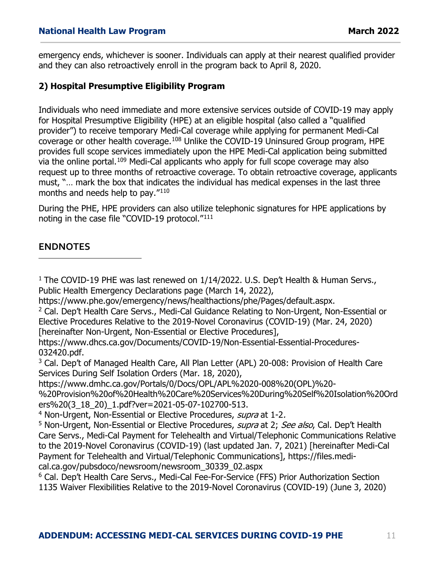emergency ends, whichever is sooner. Individuals can apply at their nearest qualified provider and they can also retroactively enroll in the program back to April 8, 2020.

#### <span id="page-10-0"></span>**2) Hospital Presumptive Eligibility Program**

<span id="page-10-5"></span><span id="page-10-4"></span><span id="page-10-3"></span><span id="page-10-2"></span><span id="page-10-1"></span>Individuals who need immediate and more extensive services outside of COVID-19 may apply for Hospital Presumptive Eligibility (HPE) at an eligible hospital (also called a "qualified provider") to receive temporary Medi-Cal coverage while applying for permanent Medi-Cal coverage or other health coverage.<sup>[108](#page-10-4)</sup> Unlike the COVID-19 Uninsured Group program, HPE provides full scope services immediately upon the HPE Medi-Cal application being submitted via the online portal.<sup>[109](#page-10-5)</sup> Medi-Cal applicants who apply for full scope coverage may also request up to three months of retroactive coverage. To obtain retroactive coverage, applicants must, "… mark the box that indicates the individual has medical expenses in the last three months and needs help to pay."[110](#page-10-6)

<span id="page-10-7"></span><span id="page-10-6"></span>During the PHE, HPE providers can also utilize telephonic signatures for HPE applications by noting in the case file "COVID-19 protocol."[111](#page-10-7)

#### **ENDNOTES**

I

<sup>1</sup> The COVID-19 PHE was last renewed on 1/14/2022. U.S. Dep't Health & Human Servs., Public Health Emergency Declarations page (March 14, 2022),

<sup>3</sup> Cal. Dep't of Managed Health Care, All Plan Letter (APL) 20-008: Provision of Health Care Services During Self Isolation Orders (Mar. 18, 2020),

[https://www.dmhc.ca.gov/Portals/0/Docs/OPL/APL%2020-008%20\(OPL\)%20-](https://www.dmhc.ca.gov/Portals/0/Docs/OPL/APL%2020-008%20(OPL)%20-%20Provision%20of%20Health%20Care%20Services%20During%20Self%20Isolation%20Orders%20(3_18_20)_1.pdf?ver=2021-05-07-102700-513)

[%20Provision%20of%20Health%20Care%20Services%20During%20Self%20Isolation%20Ord](https://www.dmhc.ca.gov/Portals/0/Docs/OPL/APL%2020-008%20(OPL)%20-%20Provision%20of%20Health%20Care%20Services%20During%20Self%20Isolation%20Orders%20(3_18_20)_1.pdf?ver=2021-05-07-102700-513) [ers%20\(3\\_18\\_20\)\\_1.pdf?ver=2021-05-07-102700-513.](https://www.dmhc.ca.gov/Portals/0/Docs/OPL/APL%2020-008%20(OPL)%20-%20Provision%20of%20Health%20Care%20Services%20During%20Self%20Isolation%20Orders%20(3_18_20)_1.pdf?ver=2021-05-07-102700-513)<br><sup>4</sup> Non-Urgent, Non-Essential or Elective Procedures, *supra* at 1-2.

<sup>5</sup> Non-Urgent, Non-Essential or Elective Procedures, *supra* at 2; See also, Cal. Dep't Health Care Servs., Medi-Cal Payment for Telehealth and Virtual/Telephonic Communications Relative to the 2019-Novel Coronavirus (COVID-19) (last updated Jan. 7, 2021) [hereinafter Medi-Cal Payment for Telehealth and Virtual/Telephonic Communications], https://files.medical.ca.gov/pubsdoco/newsroom/newsroom\_30339\_02.aspx

<sup>6</sup> Cal. Dep't Health Care Servs., Medi-Cal Fee-For-Service (FFS) Prior Authorization Section 1135 Waiver Flexibilities Relative to the 2019-Novel Coronavirus (COVID-19) (June 3, 2020)

[https://www.phe.gov/emergency/news/healthactions/phe/Pages/default.aspx.](https://www.phe.gov/emergency/news/healthactions/phe/Pages/default.aspx)<br><sup>2</sup> Cal. Dep't Health Care Servs., Medi-Cal Guidance Relating to Non-Urgent, Non-Essential or Elective Procedures Relative to the 2019-Novel Coronavirus (COVID-19) (Mar. 24, 2020) [hereinafter Non-Urgent, Non-Essential or Elective Procedures],

[https://www.dhcs.ca.gov/Documents/COVID-19/Non-Essential-Essential-Procedures-](https://www.dhcs.ca.gov/Documents/COVID-19/Non-Essential-Essential-Procedures-032420.pdf)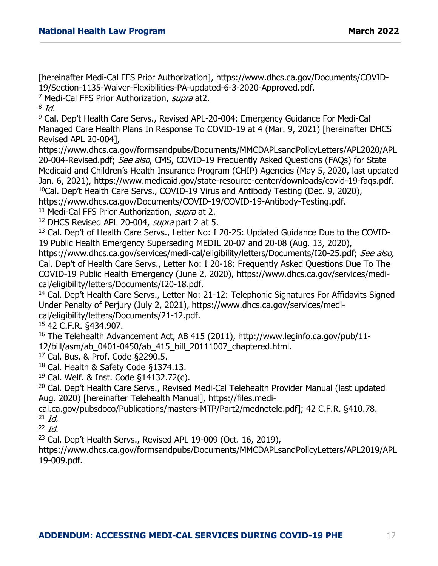[hereinafter Medi-Cal FFS Prior Authorization], [https://www.dhcs.ca.gov/Documents/COVID-](https://www.dhcs.ca.gov/Documents/COVID-19/Section-1135-Waiver-Flexibilities-PA-updated-6-3-2020-Approved.pdf)[19/Section-1135-Waiver-Flexibilities-PA-updated-6-3-2020-Approved.pdf.](https://www.dhcs.ca.gov/Documents/COVID-19/Section-1135-Waiver-Flexibilities-PA-updated-6-3-2020-Approved.pdf)

<sup>7</sup> Medi-Cal FFS Prior Authorization, supra at2.

 $8$  Id.

<sup>9</sup> Cal. Dep't Health Care Servs., Revised APL-20-004: Emergency Guidance For Medi-Cal Managed Care Health Plans In Response To COVID-19 at 4 (Mar. 9, 2021) [hereinafter DHCS Revised APL 20-004],

https://www.dhcs.ca.gov/formsandpubs/Documents/MMCDAPLsandPolicyLetters/APL2020/APL 20-004-Revised.pdf; See also, CMS, COVID-19 Frequently Asked Questions (FAQs) for State Medicaid and Children's Health Insurance Program (CHIP) Agencies (May 5, 2020, last updated Jan. 6, 2021), [https://www.medicaid.gov/state-resource-center/downloads/covid-19-faqs.pdf.](https://www.medicaid.gov/state-resource-center/downloads/covid-19-faqs.pdf) 10Cal. Dep't Health Care Servs., COVID-19 Virus and Antibody Testing (Dec. 9, 2020),

[https://www.dhcs.ca.gov/Documents/COVID-19/COVID-19-Antibody-Testing.pdf.](https://www.dhcs.ca.gov/Documents/COVID-19/COVID-19-Antibody-Testing.pdf)<br><sup>11</sup> Medi-Cal FFS Prior Authorization, *supra* at 2.

 $12$  DHCS Revised APL 20-004, *supra* part 2 at 5.

<sup>13</sup> Cal. Dep't of Health Care Servs., Letter No: I 20-25: Updated Guidance Due to the COVID-19 Public Health Emergency Superseding MEDIL 20-07 and 20-08 (Aug. 13, 2020),

[https://www.dhcs.ca.gov/services/medi-cal/eligibility/letters/Documents/I20-25.pdf;](https://www.dhcs.ca.gov/services/medi-cal/eligibility/letters/Documents/I20-25.pdf) See also, Cal. Dep't of Health Care Servs., Letter No: I 20-18: Frequently Asked Questions Due To The COVID-19 Public Health Emergency (June 2, 2020), [https://www.dhcs.ca.gov/services/medi-](https://www.dhcs.ca.gov/services/medi-cal/eligibility/letters/Documents/I20-18.pdf)

<sup>14</sup> Cal. Dep't Health Care Servs., Letter No: 21-12: Telephonic Signatures For Affidavits Signed Under Penalty of Perjury (July 2, 2021), [https://www.dhcs.ca.gov/services/medi](https://www.dhcs.ca.gov/services/medi-cal/eligibility/letters/Documents/21-12.pdf)[cal/eligibility/letters/Documents/21-12.pdf.](https://www.dhcs.ca.gov/services/medi-cal/eligibility/letters/Documents/21-12.pdf)<br><sup>15</sup> 42 C.F.R. §434.907.

<sup>16</sup> The Telehealth Advancement Act, AB 415 (2011), [http://www.leginfo.ca.gov/pub/11-](http://www.leginfo.ca.gov/pub/11-12/bill/asm/ab_0401-0450/ab_415_bill_20111007_chaptered.html) [12/bill/asm/ab\\_0401-0450/ab\\_415\\_bill\\_20111007\\_chaptered.html.](http://www.leginfo.ca.gov/pub/11-12/bill/asm/ab_0401-0450/ab_415_bill_20111007_chaptered.html)

<sup>17</sup> Cal. Bus. & Prof. Code §2290.5.

<sup>18</sup> Cal. Health & Safety Code §1374.13.

<sup>19</sup> Cal. Welf. & Inst. Code §14132.72(c).

<sup>20</sup> Cal. Dep't Health Care Servs., Revised Medi-Cal Telehealth Provider Manual (last updated Aug. 2020) [hereinafter Telehealth Manual], https://files.medi-

cal.ca.gov/pubsdoco/Publications/masters-MTP/Part2/mednetele.pdf]; 42 C.F.R. §410.78.  $21$  *Id.* 

 $22$  *Id.* 

<sup>23</sup> Cal. Dep't Health Servs., Revised APL 19-009 (Oct. 16, 2019),

[https://www.dhcs.ca.gov/formsandpubs/Documents/MMCDAPLsandPolicyLetters/APL2019/APL](https://www.dhcs.ca.gov/formsandpubs/Documents/MMCDAPLsandPolicyLetters/APL2019/APL19-009.pdf) [19-009.pdf.](https://www.dhcs.ca.gov/formsandpubs/Documents/MMCDAPLsandPolicyLetters/APL2019/APL19-009.pdf)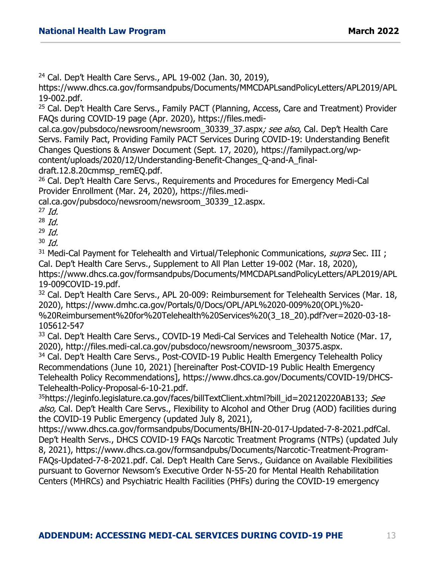<sup>24</sup> Cal. Dep't Health Care Servs., APL 19-002 (Jan. 30, 2019),

[https://www.dhcs.ca.gov/formsandpubs/Documents/MMCDAPLsandPolicyLetters/APL2019/APL](https://www.dhcs.ca.gov/formsandpubs/Documents/MMCDAPLsandPolicyLetters/APL2019/APL19-002.pdf) [19-002.pdf.](https://www.dhcs.ca.gov/formsandpubs/Documents/MMCDAPLsandPolicyLetters/APL2019/APL19-002.pdf)

<sup>25</sup> Cal. Dep't Health Care Servs., Family PACT (Planning, Access, Care and Treatment) Provider FAQs during COVID-19 page (Apr. 2020), [https://files.medi-](https://files.medi-cal.ca.gov/pubsdoco/newsroom/newsroom_30339_37.aspx)

[cal.ca.gov/pubsdoco/newsroom/newsroom\\_30339\\_37.aspx](https://files.medi-cal.ca.gov/pubsdoco/newsroom/newsroom_30339_37.aspx); see also, Cal. Dep't Health Care Servs. Family Pact, Providing Family PACT Services During COVID-19: Understanding Benefit Changes Questions & Answer Document (Sept. 17, 2020), [https://familypact.org/wp](https://familypact.org/wp-content/uploads/2020/12/Understanding-Benefit-Changes_Q-and-A_final-draft.12.8.20cmmsp_remEQ.pdf)[content/uploads/2020/12/Understanding-Benefit-Changes\\_Q-and-A\\_final-](https://familypact.org/wp-content/uploads/2020/12/Understanding-Benefit-Changes_Q-and-A_final-draft.12.8.20cmmsp_remEQ.pdf)

[draft.12.8.20cmmsp\\_remEQ.pdf.](https://familypact.org/wp-content/uploads/2020/12/Understanding-Benefit-Changes_Q-and-A_final-draft.12.8.20cmmsp_remEQ.pdf)<br><sup>26</sup> Cal. Dep't Health Care Servs., Requirements and Procedures for Emergency Medi-Cal Provider Enrollment (Mar. 24, 2020), [https://files.medi-](https://files.medi-cal.ca.gov/pubsdoco/newsroom/newsroom_30339_12.asp)

[cal.ca.gov/pubsdoco/newsroom/newsroom\\_30339\\_12.aspx](https://files.medi-cal.ca.gov/pubsdoco/newsroom/newsroom_30339_12.asp).

 $27$  *Id.* 

 $^{28}$  Id.

 $^{29}$  Id.

 $30$  Id.

<sup>31</sup> Medi-Cal Payment for Telehealth and Virtual/Telephonic Communications, *supra* Sec. III ; Cal. Dep't Health Care Servs., Supplement to All Plan Letter 19-002 (Mar. 18, 2020), [https://www.dhcs.ca.gov/formsandpubs/Documents/MMCDAPLsandPolicyLetters/APL2019/APL](https://www.dhcs.ca.gov/formsandpubs/Documents/MMCDAPLsandPolicyLetters/APL2019/APL19-009COVID-19.pdf) [19-009COVID-19.pdf.](https://www.dhcs.ca.gov/formsandpubs/Documents/MMCDAPLsandPolicyLetters/APL2019/APL19-009COVID-19.pdf)<br><sup>32</sup> Cal. Dep't Health Care Servs., APL 20-009: Reimbursement for Telehealth Services (Mar. 18,

2020), https://www.dmhc.ca.gov/Portals/0/Docs/OPL/APL%2020-009%20(OPL)%20- %20Reimbursement%20for%20Telehealth%20Services%20(3\_18\_20).pdf?ver=2020-03-18- 105612-547

<sup>33</sup> Cal. Dep't Health Care Servs., COVID-19 Medi-Cal Services and Telehealth Notice (Mar. 17, 2020), http://files.medi-cal.ca.gov/pubsdoco/newsroom/newsroom\_30375.aspx.

<sup>34</sup> Cal. Dep't Health Care Servs., Post-COVID-19 Public Health Emergency Telehealth Policy Recommendations (June 10, 2021) [hereinafter Post-COVID-19 Public Health Emergency Telehealth Policy Recommendations], https://www.dhcs.ca.gov/Documents/COVID-19/DHCS-Telehealth-Policy-Proposal-6-10-21.pdf.

<sup>35</sup>https://leginfo.legislature.ca.gov/faces/billTextClient.xhtml?bill\_id=202120220AB133; See also, Cal. Dep't Health Care Servs., Flexibility to Alcohol and Other Drug (AOD) facilities during the COVID-19 Public Emergency (updated July 8, 2021),

[https://www.dhcs.ca.gov/formsandpubs/Documents/BHIN-20-017-Updated-7-8-2021.pdfC](https://www.dhcs.ca.gov/formsandpubs/Documents/BHIN-20-017-Updated-7-8-2021.pdf)al. Dep't Health Servs., DHCS COVID-19 FAQs Narcotic Treatment Programs (NTPs) (updated July 8, 2021), [https://www.dhcs.ca.gov/formsandpubs/Documents/Narcotic-Treatment-Program-](https://www.dhcs.ca.gov/formsandpubs/Documents/Narcotic-Treatment-Program-FAQs-Updated-7-8-2021.pdf)[FAQs-Updated-7-8-2021.pdf.](https://www.dhcs.ca.gov/formsandpubs/Documents/Narcotic-Treatment-Program-FAQs-Updated-7-8-2021.pdf) Cal. Dep't Health Care Servs., Guidance on Available Flexibilities pursuant to Governor Newsom's Executive Order N-55-20 for Mental Health Rehabilitation Centers (MHRCs) and Psychiatric Health Facilities (PHFs) during the COVID-19 emergency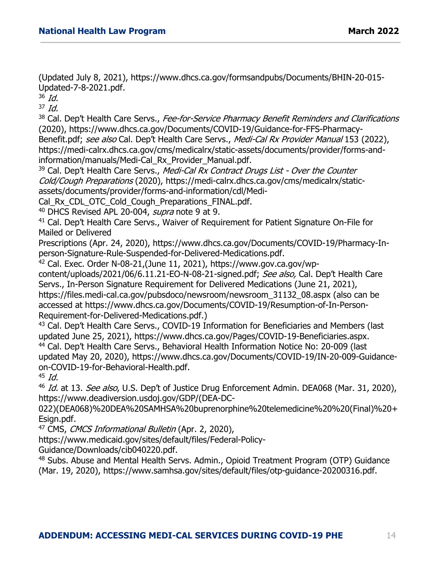(Updated July 8, 2021), [https://www.dhcs.ca.gov/formsandpubs/Documents/BHIN-20-015-](https://www.dhcs.ca.gov/formsandpubs/Documents/BHIN-20-015-Updated-7-8-2021.pdf) [Updated-7-8-2021.pdf.](https://www.dhcs.ca.gov/formsandpubs/Documents/BHIN-20-015-Updated-7-8-2021.pdf)<br><sup>36</sup> Id.

 $37$  Id.

<sup>38</sup> Cal. Dep't Health Care Servs., Fee-for-Service Pharmacy Benefit Reminders and Clarifications (2020), [https://www.dhcs.ca.gov/Documents/COVID-19/Guidance-for-FFS-Pharmacy-](https://www.dhcs.ca.gov/Documents/COVID-19/Guidance-for-FFS-Pharmacy-Benefit.pdf)[Benefit.pdf;](https://www.dhcs.ca.gov/Documents/COVID-19/Guidance-for-FFS-Pharmacy-Benefit.pdf) see also Cal. Dep't Health Care Servs., Medi-Cal Rx Provider Manual 153 (2022), https://medi-calrx.dhcs.ca.gov/cms/medicalrx/static-assets/documents/provider/forms-andinformation/manuals/Medi-Cal\_Rx\_Provider\_Manual.pdf.

 $39$  Cal. Dep't Health Care Servs., Medi-Cal Rx Contract Drugs List - Over the Counter Cold/Cough Preparations (2020), https://medi-calrx.dhcs.ca.gov/cms/medicalrx/staticassets/documents/provider/forms-and-information/cdl/Medi-

Cal Rx CDL OTC Cold\_Cough\_Preparations\_FINAL.pdf.

 $40$  DHCS Revised APL 20-004, *supra* note 9 at 9.

<sup>41</sup> Cal. Dep't Health Care Servs., Waiver of Requirement for Patient Signature On-File for Mailed or Delivered

Prescriptions (Apr. 24, 2020), [https://www.dhcs.ca.gov/Documents/COVID-19/Pharmacy-In](https://www.dhcs.ca.gov/Documents/COVID-19/Pharmacy-In-person-Signature-Rule-Suspended-for-Delivered-Medications.pdf)[person-Signature-Rule-Suspended-for-Delivered-Medications.pdf.](https://www.dhcs.ca.gov/Documents/COVID-19/Pharmacy-In-person-Signature-Rule-Suspended-for-Delivered-Medications.pdf)

<sup>42</sup> Cal. Exec. Order N-08-21,(June 11, 2021), [https://www.gov.ca.gov/wp](https://www.gov.ca.gov/wp-content/uploads/2021/06/6.11.21-EO-N-08-21-signed.pdf)[content/uploads/2021/06/6.11.21-EO-N-08-21-signed.pdf;](https://www.gov.ca.gov/wp-content/uploads/2021/06/6.11.21-EO-N-08-21-signed.pdf) See also, Cal. Dep't Health Care Servs., In-Person Signature Requirement for Delivered Medications (June 21, 2021), [https://files.medi-cal.ca.gov/pubsdoco/newsroom/newsroom\\_31132\\_08.aspx](https://files.medi-cal.ca.gov/pubsdoco/newsroom/newsroom_31132_08.aspx) (also can be accessed at [https://www.dhcs.ca.gov/Documents/COVID-19/Resumption-of-In-Person-](https://www.dhcs.ca.gov/Documents/COVID-19/Resumption-of-In-Person-Requirement-for-Delivered-Medications.pdf)[Requirement-for-Delivered-Medications.pdf.](https://www.dhcs.ca.gov/Documents/COVID-19/Resumption-of-In-Person-Requirement-for-Delivered-Medications.pdf))

<sup>43</sup> Cal. Dep't Health Care Servs., COVID-19 Information for Beneficiaries and Members (last updated June 25, 2021), [https://www.dhcs.ca.gov/Pages/COVID-19-Beneficiaries.aspx.](https://www.dhcs.ca.gov/Pages/COVID-19-Beneficiaries.aspx)

<sup>44</sup> Cal. Dep't Health Care Servs., Behavioral Health Information Notice No: 20-009 (last updated May 20, 2020), https://www.dhcs.ca.gov/Documents/COVID-19/IN-20-009-Guidanceon-COVID-19-for-Behavioral-Health.pdf.

 $45$  Id.

 $46$  Id. at 13. See also, U.S. Dep't of Justice Drug Enforcement Admin. DEA068 (Mar. 31, 2020), [https://www.deadiversion.usdoj.gov/GDP/\(DEA-DC-](https://www.deadiversion.usdoj.gov/GDP/(DEA-DC-022)(DEA068)%20DEA%20SAMHSA%20buprenorphine%20telemedicine%20%20(Final)%20+Esign.pdf)

[022\)\(DEA068\)%20DEA%20SAMHSA%20buprenorphine%20telemedicine%20%20\(Final\)%20+](https://www.deadiversion.usdoj.gov/GDP/(DEA-DC-022)(DEA068)%20DEA%20SAMHSA%20buprenorphine%20telemedicine%20%20(Final)%20+Esign.pdf) [Esign.pdf.](https://www.deadiversion.usdoj.gov/GDP/(DEA-DC-022)(DEA068)%20DEA%20SAMHSA%20buprenorphine%20telemedicine%20%20(Final)%20+Esign.pdf)

<sup>47</sup> CMS, *CMCS Informational Bulletin* (Apr. 2, 2020),

[https://www.medicaid.gov/sites/default/files/Federal-Policy-](https://www.medicaid.gov/sites/default/files/Federal-Policy-Guidance/Downloads/cib040220.pdf)

[Guidance/Downloads/cib040220.pdf.](https://www.medicaid.gov/sites/default/files/Federal-Policy-Guidance/Downloads/cib040220.pdf)

48 Subs. Abuse and Mental Health Servs. Admin., Opioid Treatment Program (OTP) Guidance (Mar. 19, 2020), [https://www.samhsa.gov/sites/default/files/otp-guidance-20200316.pdf.](https://www.samhsa.gov/sites/default/files/otp-guidance-20200316.pdf)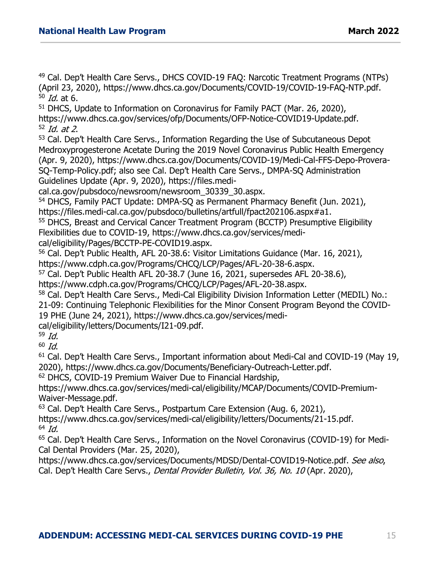<sup>49</sup> Cal. Dep't Health Care Servs., DHCS COVID-19 FAQ: Narcotic Treatment Programs (NTPs) (April 23, 2020), [https://www.dhcs.ca.gov/Documents/COVID-19/COVID-19-FAQ-NTP.pdf.](https://www.dhcs.ca.gov/Documents/COVID-19/COVID-19-FAQ-NTP.pdf)  $50$  *Id.* at 6.

<sup>51</sup> DHCS, Update to Information on Coronavirus for Family PACT (Mar. 26, 2020), https://www.dhcs.ca.gov/services/ofp/Documents/OFP-Notice-COVID19-Update.pdf.  $52$  *Id. at 2*.<br> $53$  Cal. Dep't Health Care Servs., Information Regarding the Use of Subcutaneous Depot

Medroxyprogesterone Acetate During the 2019 Novel Coronavirus Public Health Emergency (Apr. 9, 2020), [https://www.dhcs.ca.gov/Documents/COVID-19/Medi-Cal-FFS-Depo-Provera-](https://www.dhcs.ca.gov/Documents/COVID-19/Medi-Cal-FFS-Depo-Provera-SQ-Temp-Policy.pdf)[SQ-Temp-Policy.pdf;](https://www.dhcs.ca.gov/Documents/COVID-19/Medi-Cal-FFS-Depo-Provera-SQ-Temp-Policy.pdf) also see Cal. Dep't Health Care Servs., DMPA-SQ Administration Guidelines Update (Apr. 9, 2020), https://files.medi-

cal.ca.gov/pubsdoco/newsroom/newsroom\_30339\_30.aspx.

<sup>54</sup> DHCS, Family PACT Update: DMPA-SQ as Permanent Pharmacy Benefit (Jun. 2021), [https://files.medi-cal.ca.gov/pubsdoco/bulletins/artfull/fpact202106.aspx#a1.](https://files.medi-cal.ca.gov/pubsdoco/bulletins/artfull/fpact202106.aspx#a1)

<sup>55</sup> DHCS, Breast and Cervical Cancer Treatment Program (BCCTP) Presumptive Eligibility Flexibilities due to COVID-19, https://www.dhcs.ca.gov/services/medi-

cal/eligibility/Pages/BCCTP-PE-COVID19.aspx.

<sup>56</sup> Cal. Dep't Public Health, AFL 20-38.6: Visitor Limitations Guidance (Mar. 16, 2021), https://www.cdph.ca.gov/Programs/CHCQ/LCP/Pages/AFL-20-38-6.aspx.

 $57$  Cal. Dep't Public Health AFL 20-38.7 (June 16, 2021, supersedes AFL 20-38.6), https://www.cdph.ca.gov/Programs/CHCO/LCP/Pages/AFL-20-38.aspx.

58 Cal. Dep't Health Care Servs., Medi-Cal Eligibility Division Information Letter (MEDIL) No.: 21-09: Continuing Telephonic Flexibilities for the Minor Consent Program Beyond the COVID-19 PHE (June 24, 2021), [https://www.dhcs.ca.gov/services/medi-](https://www.dhcs.ca.gov/services/medi-cal/eligibility/letters/Documents/I21-09.pdf)

[cal/eligibility/letters/Documents/I21-09.pdf.](https://www.dhcs.ca.gov/services/medi-cal/eligibility/letters/Documents/I21-09.pdf)<br><sup>59</sup> Id.

<sup>60</sup> Id.<br><sup>61</sup> Cal. Dep't Health Care Servs., Important information about Medi-Cal and COVID-19 (May 19,<br>2020), https://www.dhcs.ca.gov/Documents/Beneficiary-Outreach-Letter.pdf.

<sup>62</sup> DHCS, COVID-19 Premium Waiver Due to Financial Hardship,

[https://www.dhcs.ca.gov/services/medi-cal/eligibility/MCAP/Documents/COVID-Premium-](https://www.dhcs.ca.gov/services/medi-cal/eligibility/MCAP/Documents/COVID-Premium-Waiver-Message.pdf)[Waiver-Message.pdf.](https://www.dhcs.ca.gov/services/medi-cal/eligibility/MCAP/Documents/COVID-Premium-Waiver-Message.pdf)

<sup>63</sup> Cal. Dep't Health Care Servs., Postpartum Care Extension (Aug. 6, 2021),

https://www.dhcs.ca.gov/services/medi-cal/eligibility/letters/Documents/21-15.pdf.  $64$  Id.

<sup>65</sup> Cal. Dep't Health Care Servs., Information on the Novel Coronavirus (COVID-19) for Medi-Cal Dental Providers (Mar. 25, 2020),

[https://www.dhcs.ca.gov/services/Documents/MDSD/Dental-COVID19-Notice.pdf.](https://www.dhcs.ca.gov/services/Documents/MDSD/Dental-COVID19-Notice.pdf) See also, Cal. Dep't Health Care Servs., *Dental Provider Bulletin, Vol. 36, No. 10* (Apr. 2020),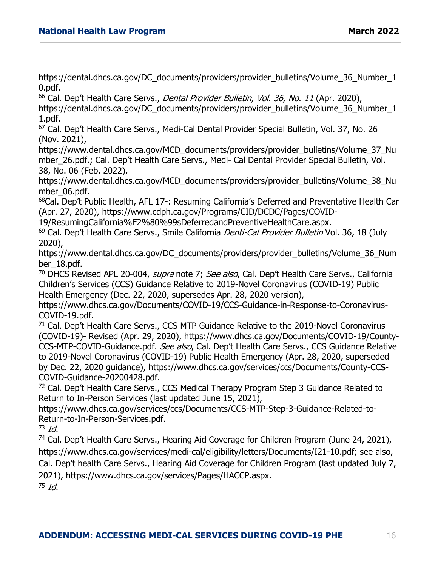[https://dental.dhcs.ca.gov/DC\\_documents/providers/provider\\_bulletins/Volume\\_36\\_Number\\_1](https://dental.dhcs.ca.gov/DC_documents/providers/provider_bulletins/Volume_36_Number_10.pdf) [0.pdf.](https://dental.dhcs.ca.gov/DC_documents/providers/provider_bulletins/Volume_36_Number_10.pdf)

<sup>66</sup> Cal. Dep't Health Care Servs., *Dental Provider Bulletin, Vol. 36, No. 11* (Apr. 2020),

[https://dental.dhcs.ca.gov/DC\\_documents/providers/provider\\_bulletins/Volume\\_36\\_Number\\_1](https://dental.dhcs.ca.gov/DC_documents/providers/provider_bulletins/Volume_36_Number_11.pdf) [1.pdf.](https://dental.dhcs.ca.gov/DC_documents/providers/provider_bulletins/Volume_36_Number_11.pdf)

<sup>67</sup> Cal. Dep't Health Care Servs., Medi-Cal Dental Provider Special Bulletin, Vol. 37, No. 26 (Nov. 2021),

https://www.dental.dhcs.ca.gov/MCD\_documents/providers/provider\_bulletins/Volume\_37\_Nu mber\_26.pdf.; Cal. Dep't Health Care Servs., Medi- Cal Dental Provider Special Bulletin, Vol. 38, No. 06 (Feb. 2022),

https://www.dental.dhcs.ca.gov/MCD\_documents/providers/provider\_bulletins/Volume\_38\_Nu mber 06.pdf.

68Cal. Dep't Public Health, AFL 17-: Resuming California's Deferred and Preventative Health Car (Apr. 27, 2020), [https://www.cdph.ca.gov/Programs/CID/DCDC/Pages/COVID-](https://www.cdph.ca.gov/Programs/CID/DCDC/Pages/COVID-19/ResumingCalifornia%E2%80%99sDeferredandPreventiveHealthCare.aspx)

[19/ResumingCalifornia%E2%80%99sDeferredandPreventiveHealthCare.aspx.](https://www.cdph.ca.gov/Programs/CID/DCDC/Pages/COVID-19/ResumingCalifornia%E2%80%99sDeferredandPreventiveHealthCare.aspx)

<sup>69</sup> Cal. Dep't Health Care Servs., Smile California *Denti-Cal Provider Bulletin* Vol. 36, 18 (July 2020),

https://www.dental.dhcs.ca.gov/DC\_documents/providers/provider\_bulletins/Volume\_36\_Num ber\_18.pdf.

<sup>70</sup> DHCS Revised APL 20-004, *supra* note 7; See also, Cal. Dep't Health Care Servs., California Children's Services (CCS) Guidance Relative to 2019-Novel Coronavirus (COVID-19) Public Health Emergency (Dec. 22, 2020, supersedes Apr. 28, 2020 version),

https://www.dhcs.ca.gov/Documents/COVID-19/CCS-Guidance-in-Response-to-Coronavirus-COVID-19.pdf.

<sup>71</sup> Cal. Dep't Health Care Servs., CCS MTP Guidance Relative to the 2019-Novel Coronavirus (COVID-19)- Revised (Apr. 29, 2020), [https://www.dhcs.ca.gov/Documents/COVID-19/County-](https://www.dhcs.ca.gov/Documents/COVID-19/County-CCS-MTP-COVID-Guidance.pdf)[CCS-MTP-COVID-Guidance.pdf.](https://www.dhcs.ca.gov/Documents/COVID-19/County-CCS-MTP-COVID-Guidance.pdf) See also, Cal. Dep't Health Care Servs., CCS Guidance Relative to 2019-Novel Coronavirus (COVID-19) Public Health Emergency (Apr. 28, 2020, superseded by Dec. 22, 2020 guidance), [https://www.dhcs.ca.gov/services/ccs/Documents/County-CCS-](https://www.dhcs.ca.gov/services/ccs/Documents/County-CCS-COVID-Guidance-20200428.pdf)[COVID-Guidance-20200428.pdf.](https://www.dhcs.ca.gov/services/ccs/Documents/County-CCS-COVID-Guidance-20200428.pdf)<br><sup>72</sup> Cal. Dep't Health Care Servs., CCS Medical Therapy Program Step 3 Guidance Related to

Return to In-Person Services (last updated June 15, 2021),

https://www.dhcs.ca.gov/services/ccs/Documents/CCS-MTP-Step-3-Guidance-Related-to-Return-to-In-Person-Services.pdf.

 $73$  Id.

<sup>74</sup> Cal. Dep't Health Care Servs., Hearing Aid Coverage for Children Program (June 24, 2021), [https://www.dhcs.ca.gov/services/medi-cal/eligibility/letters/Documents/I21-10.pdf;](https://www.dhcs.ca.gov/services/medi-cal/eligibility/letters/Documents/I21-10.pdf) see also, Cal. Dep't health Care Servs., Hearing Aid Coverage for Children Program (last updated July 7, 2021), [https://www.dhcs.ca.gov/services/Pages/HACCP.aspx.](https://www.dhcs.ca.gov/services/Pages/HACCP.aspx)

 $75$  Id.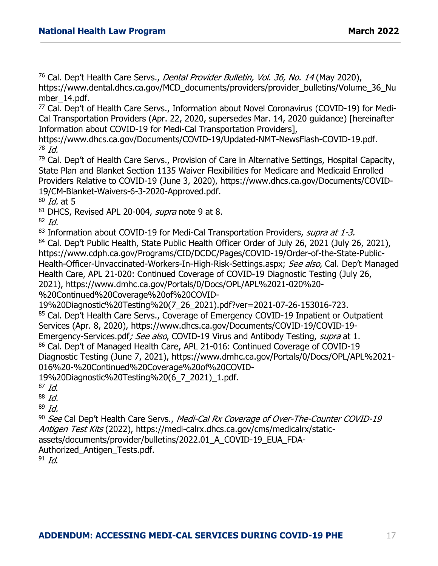<sup>76</sup> Cal. Dep't Health Care Servs., *Dental Provider Bulletin, Vol. 36, No. 14* (May 2020), [https://www.dental.dhcs.ca.gov/MCD\\_documents/providers/provider\\_bulletins/Volume\\_36\\_Nu](https://www.dental.dhcs.ca.gov/MCD_documents/providers/provider_bulletins/Volume_36_Number_14.pdf)

[mber\\_14.pdf.](https://www.dental.dhcs.ca.gov/MCD_documents/providers/provider_bulletins/Volume_36_Number_14.pdf)<br><sup>77</sup> Cal. Dep't of Health Care Servs., Information about Novel Coronavirus (COVID-19) for Medi-Cal Transportation Providers (Apr. 22, 2020, supersedes Mar. 14, 2020 guidance) [hereinafter Information about COVID-19 for Medi-Cal Transportation Providers],

[https://www.dhcs.ca.gov/Documents/COVID-19/Updated-NMT-NewsFlash-COVID-19.pdf.](https://www.dhcs.ca.gov/Documents/COVID-19/Updated-NMT-NewsFlash-COVID-19.pdf)  $78$  Id.

<sup>79</sup> Cal. Dep't of Health Care Servs., Provision of Care in Alternative Settings, Hospital Capacity, State Plan and Blanket Section 1135 Waiver Flexibilities for Medicare and Medicaid Enrolled Providers Relative to COVID-19 (June 3, 2020), [https://www.dhcs.ca.gov/Documents/COVID-](https://www.dhcs.ca.gov/Documents/COVID-19/CM-Blanket-Waivers-6-3-2020-Approved.pdf)[19/CM-Blanket-Waivers-6-3-2020-Approved.pdf.](https://www.dhcs.ca.gov/Documents/COVID-19/CM-Blanket-Waivers-6-3-2020-Approved.pdf)

 $80$  *Id.* at 5

 $81$  DHCS, Revised APL 20-004, *supra* note 9 at 8.

 $82$  *Id.* 

 $83$  Information about COVID-19 for Medi-Cal Transportation Providers, supra at 1-3.

<sup>84</sup> Cal. Dep't Public Health, State Public Health Officer Order of July 26, 2021 (July 26, 2021), [https://www.cdph.ca.gov/Programs/CID/DCDC/Pages/COVID-19/Order-of-the-State-Public-](https://www.cdph.ca.gov/Programs/CID/DCDC/Pages/COVID-19/Order-of-the-State-Public-Health-Officer-Unvaccinated-Workers-In-High-Risk-Settings.aspx)[Health-Officer-Unvaccinated-Workers-In-High-Risk-Settings.aspx;](https://www.cdph.ca.gov/Programs/CID/DCDC/Pages/COVID-19/Order-of-the-State-Public-Health-Officer-Unvaccinated-Workers-In-High-Risk-Settings.aspx) See also, Cal. Dep't Managed Health Care, APL 21-020: Continued Coverage of COVID-19 Diagnostic Testing (July 26, 2021), [https://www.dmhc.ca.gov/Portals/0/Docs/OPL/APL%2021-020%20-](https://www.dmhc.ca.gov/Portals/0/Docs/OPL/APL%2021-020%20-%20Continued%20Coverage%20of%20COVID-19%20Diagnostic%20Testing%20(7_26_2021).pdf?ver=2021-07-26-153016-723)

[%20Continued%20Coverage%20of%20COVID-](https://www.dmhc.ca.gov/Portals/0/Docs/OPL/APL%2021-020%20-%20Continued%20Coverage%20of%20COVID-19%20Diagnostic%20Testing%20(7_26_2021).pdf?ver=2021-07-26-153016-723)

[19%20Diagnostic%20Testing%20\(7\\_26\\_2021\).pdf?ver=2021-07-26-153016-723.](https://www.dmhc.ca.gov/Portals/0/Docs/OPL/APL%2021-020%20-%20Continued%20Coverage%20of%20COVID-19%20Diagnostic%20Testing%20(7_26_2021).pdf?ver=2021-07-26-153016-723)<br><sup>85</sup> Cal. Dep't Health Care Servs., Coverage of Emergency COVID-19 Inpatient or Outpatient Services (Apr. 8, 2020), [https://www.dhcs.ca.gov/Documents/COVID-19/COVID-19-](https://www.dhcs.ca.gov/Documents/COVID-19/COVID-19-Emergency-Services.pdf) [Emergency-Services.pdf](https://www.dhcs.ca.gov/Documents/COVID-19/COVID-19-Emergency-Services.pdf); See also, COVID-19 Virus and Antibody Testing, supra at 1. 86 Cal. Dep't of Managed Health Care, APL 21-016: Continued Coverage of COVID-19 Diagnostic Testing (June 7, 2021), https://www.dmhc.ca.gov/Portals/0/Docs/OPL/APL%2021-

016%20-%20Continued%20Coverage%20of%20COVID-

19%20Diagnostic%20Testing%20(6\_7\_2021)\_1.pdf.

 $87$  Id.

 $88$  Id.

 $89$  Id.

90 See Cal Dep't Health Care Servs., Medi-Cal Rx Coverage of Over-The-Counter COVID-19 Antigen Test Kits (2022), https://medi-calrx.dhcs.ca.gov/cms/medicalrx/staticassets/documents/provider/bulletins/2022.01\_A\_COVID-19\_EUA\_FDA-Authorized\_Antigen\_Tests.pdf.

 $91$  Id.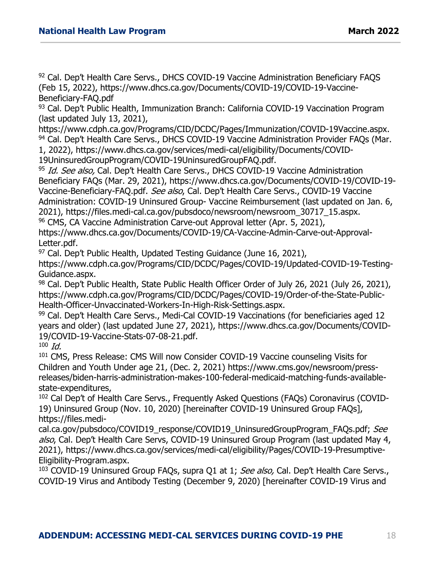92 Cal. Dep't Health Care Servs., DHCS COVID-19 Vaccine Administration Beneficiary FAQS (Feb 15, 2022), https://www.dhcs.ca.gov/Documents/COVID-19/COVID-19-Vaccine-Beneficiary-FAQ.pdf

<sup>93</sup> Cal. Dep't Public Health, Immunization Branch: California COVID-19 Vaccination Program (last updated July 13, 2021),

[https://www.cdph.ca.gov/Programs/CID/DCDC/Pages/Immunization/COVID-19Vaccine.aspx.](https://www.cdph.ca.gov/Programs/CID/DCDC/Pages/Immunization/COVID-19Vaccine.aspx)<br><sup>94</sup> Cal. Dep't Health Care Servs., DHCS COVID-19 Vaccine Administration Provider FAQs (Mar.

1, 2022), https://www.dhcs.ca.gov/services/medi-cal/eligibility/Documents/COVID-19UninsuredGroupProgram/COVID-19UninsuredGroupFAQ.pdf.

<sup>95</sup> Id. See also, Cal. Dep't Health Care Servs., DHCS COVID-19 Vaccine Administration Beneficiary FAQs (Mar. 29, 2021), [https://www.dhcs.ca.gov/Documents/COVID-19/COVID-19-](https://www.dhcs.ca.gov/Documents/COVID-19/COVID-19-Vaccine-Beneficiary-FAQ.pdf) [Vaccine-Beneficiary-FAQ.pdf.](https://www.dhcs.ca.gov/Documents/COVID-19/COVID-19-Vaccine-Beneficiary-FAQ.pdf) See also, Cal. Dep't Health Care Servs., COVID-19 Vaccine Administration: COVID-19 Uninsured Group- Vaccine Reimbursement (last updated on Jan. 6, 2021), [https://files.medi-cal.ca.gov/pubsdoco/newsroom/newsroom\\_30717\\_15.aspx.](https://files.medi-cal.ca.gov/pubsdoco/newsroom/newsroom_30717_15.aspx)<br><sup>96</sup> CMS, CA Vaccine Administration Carve-out Approval letter (Apr. 5, 2021),

[https://www.dhcs.ca.gov/Documents/COVID-19/CA-Vaccine-Admin-Carve-out-Approval-](https://www.dhcs.ca.gov/Documents/COVID-19/CA-Vaccine-Admin-Carve-out-Approval-Letter.pdf)

[Letter.pdf.](https://www.dhcs.ca.gov/Documents/COVID-19/CA-Vaccine-Admin-Carve-out-Approval-Letter.pdf)<br><sup>97</sup> Cal. Dep't Public Health, Updated Testing Guidance (June 16, 2021),

[https://www.cdph.ca.gov/Programs/CID/DCDC/Pages/COVID-19/Updated-COVID-19-Testing-](https://www.cdph.ca.gov/Programs/CID/DCDC/Pages/COVID-19/Updated-COVID-19-Testing-Guidance.aspx)[Guidance.aspx.](https://www.cdph.ca.gov/Programs/CID/DCDC/Pages/COVID-19/Updated-COVID-19-Testing-Guidance.aspx)<br><sup>98</sup> Cal. Dep't Public Health, State Public Health Officer Order of July 26, 2021 (July 26, 2021),

[https://www.cdph.ca.gov/Programs/CID/DCDC/Pages/COVID-19/Order-of-the-State-Public-](https://www.cdph.ca.gov/Programs/CID/DCDC/Pages/COVID-19/Order-of-the-State-Public-Health-Officer-Unvaccinated-Workers-In-High-Risk-Settings.aspx)[Health-Officer-Unvaccinated-Workers-In-High-Risk-Settings.aspx.](https://www.cdph.ca.gov/Programs/CID/DCDC/Pages/COVID-19/Order-of-the-State-Public-Health-Officer-Unvaccinated-Workers-In-High-Risk-Settings.aspx)<br><sup>99</sup> Cal. Dep't Health Care Servs., Medi-Cal COVID-19 Vaccinations (for beneficiaries aged 12

years and older) (last updated June 27, 2021), [https://www.dhcs.ca.gov/Documents/COVID-](https://www.dhcs.ca.gov/Documents/COVID-19/COVID-19-Vaccine-Stats-07-08-21.pdf)[19/COVID-19-Vaccine-Stats-07-08-21.pdf.](https://www.dhcs.ca.gov/Documents/COVID-19/COVID-19-Vaccine-Stats-07-08-21.pdf)<br><sup>100</sup> Id.

<sup>101</sup> CMS, Press Release: CMS Will now Consider COVID-19 Vaccine counseling Visits for Children and Youth Under age 21, (Dec. 2, 2021) https://www.cms.gov/newsroom/pressreleases/biden-harris-administration-makes-100-federal-medicaid-matching-funds-availablestate-expenditures,

<sup>102</sup> Cal Dep't of Health Care Servs., Frequently Asked Questions (FAQs) Coronavirus (COVID-19) Uninsured Group (Nov. 10, 2020) [hereinafter COVID-19 Uninsured Group FAQs], [https://files.medi-](https://files.medi-cal.ca.gov/pubsdoco/COVID19_response/COVID19_UninsuredGroupProgram_FAQs.pdf)

[cal.ca.gov/pubsdoco/COVID19\\_response/COVID19\\_UninsuredGroupProgram\\_FAQs.pdf;](https://files.medi-cal.ca.gov/pubsdoco/COVID19_response/COVID19_UninsuredGroupProgram_FAQs.pdf) See also, Cal. Dep't Health Care Servs, COVID-19 Uninsured Group Program (last updated May 4, 2021), [https://www.dhcs.ca.gov/services/medi-cal/eligibility/Pages/COVID-19-Presumptive-](https://www.dhcs.ca.gov/services/medi-cal/eligibility/Pages/COVID-19-Presumptive-Eligibility-Program.aspx)

<sup>103</sup> COVID-19 Uninsured Group FAQs, supra Q1 at 1; *See also*, Cal. Dep't Health Care Servs., COVID-19 Virus and Antibody Testing (December 9, 2020) [hereinafter COVID-19 Virus and